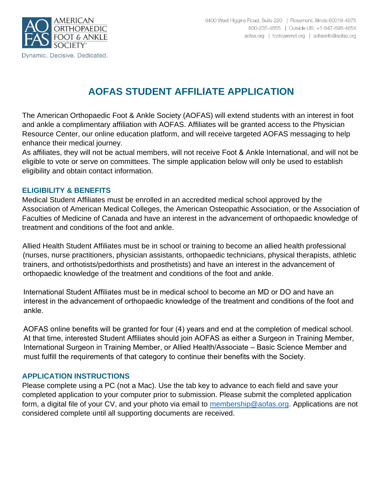

# **AOFAS STUDENT AFFILIATE APPLICATION**

The American Orthopaedic Foot & Ankle Society (AOFAS) will extend students with an interest in foot and ankle a complimentary affiliation with AOFAS. Affiliates will be granted access to the Physician Resource Center, our online education platform, and will receive targeted AOFAS messaging to help enhance their medical journey.

As affiliates, they will not be actual members, will not receive Foot & Ankle International, and will not be eligible to vote or serve on committees. The simple application below will only be used to establish eligibility and obtain contact information.

#### **ELIGIBILITY & BENEFITS**

Medical Student Affiliates must be enrolled in an accredited medical school approved by the Association of American Medical Colleges, the American Osteopathic Association, or the Association of Faculties of Medicine of Canada and have an interest in the advancement of orthopaedic knowledge of treatment and conditions of the foot and ankle.

Allied Health Student Affiliates must be in school or training to become an allied health professional (nurses, nurse practitioners, physician assistants, orthopaedic technicians, physical therapists, athletic trainers, and orthotists/pedorthists and prosthetists) and have an interest in the advancement of orthopaedic knowledge of the treatment and conditions of the foot and ankle.

International Student Affiliates must be in medical school to become an MD or DO and have an interest in the advancement of orthopaedic knowledge of the treatment and conditions of the foot and ankle.

AOFAS online benefits will be granted for four (4) years and end at the completion of medical school. At that time, interested Student Affiliates should join AOFAS as either a Surgeon in Training Member, International Surgeon in Training Member, or Allied Health/Associate – Basic Science Member and must fulfill the requirements of that category to continue their benefits with the Society.

#### **APPLICATION INSTRUCTIONS**

Please complete using a PC (not a Mac). Use the tab key to advance to each field and save your completed application to your computer prior to submission. Please submit the completed application form, a digital file of your CV, and your photo via email to [membership@aofas.org.](mailto:membership@aofas.org) Applications are not considered complete until all supporting documents are received.